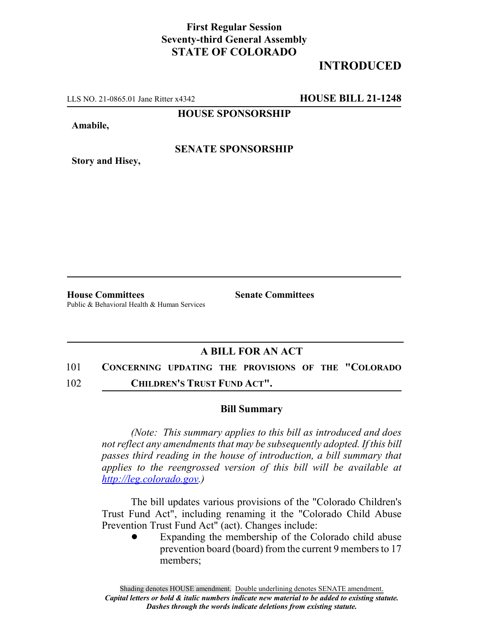## **First Regular Session Seventy-third General Assembly STATE OF COLORADO**

# **INTRODUCED**

LLS NO. 21-0865.01 Jane Ritter x4342 **HOUSE BILL 21-1248**

**HOUSE SPONSORSHIP**

**Amabile,**

**Story and Hisey,**

### **SENATE SPONSORSHIP**

**House Committees Senate Committees** Public & Behavioral Health & Human Services

### **A BILL FOR AN ACT**

101 **CONCERNING UPDATING THE PROVISIONS OF THE "COLORADO** 102 **CHILDREN'S TRUST FUND ACT".**

#### **Bill Summary**

*(Note: This summary applies to this bill as introduced and does not reflect any amendments that may be subsequently adopted. If this bill passes third reading in the house of introduction, a bill summary that applies to the reengrossed version of this bill will be available at http://leg.colorado.gov.)*

The bill updates various provisions of the "Colorado Children's Trust Fund Act", including renaming it the "Colorado Child Abuse Prevention Trust Fund Act" (act). Changes include:

> Expanding the membership of the Colorado child abuse prevention board (board) from the current 9 members to 17 members;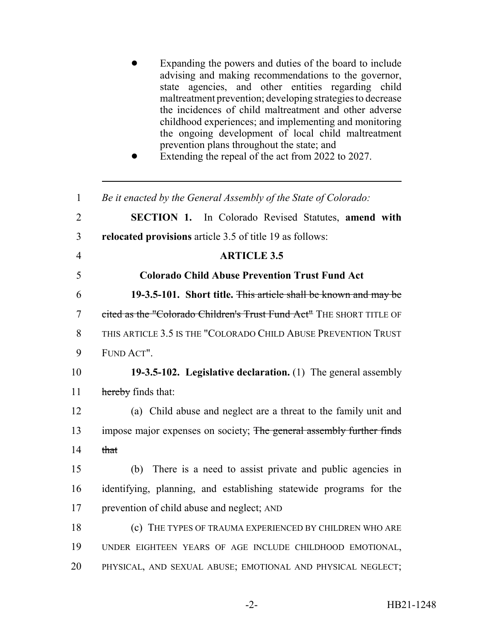! Expanding the powers and duties of the board to include advising and making recommendations to the governor, state agencies, and other entities regarding child maltreatment prevention; developing strategies to decrease the incidences of child maltreatment and other adverse childhood experiences; and implementing and monitoring the ongoing development of local child maltreatment prevention plans throughout the state; and

Extending the repeal of the act from 2022 to 2027.

| $\mathbf{1}$   | Be it enacted by the General Assembly of the State of Colorado:      |
|----------------|----------------------------------------------------------------------|
| $\overline{2}$ | <b>SECTION 1.</b> In Colorado Revised Statutes, amend with           |
| $\overline{3}$ | relocated provisions article 3.5 of title 19 as follows:             |
| $\overline{4}$ | <b>ARTICLE 3.5</b>                                                   |
| 5              | <b>Colorado Child Abuse Prevention Trust Fund Act</b>                |
| 6              | 19-3.5-101. Short title. This article shall be known and may be      |
| 7              | cited as the "Colorado Children's Trust Fund Act" THE SHORT TITLE OF |
| 8              | THIS ARTICLE 3.5 IS THE "COLORADO CHILD ABUSE PREVENTION TRUST       |
| 9              | FUND ACT".                                                           |
| 10             | 19-3.5-102. Legislative declaration. $(1)$ The general assembly      |
| 11             | hereby finds that:                                                   |
| 12             | (a) Child abuse and neglect are a threat to the family unit and      |
| 13             | impose major expenses on society; The general assembly further finds |
| 14             | that                                                                 |
| 15             | There is a need to assist private and public agencies in<br>(b)      |
| 16             | identifying, planning, and establishing statewide programs for the   |
| 17             | prevention of child abuse and neglect; AND                           |
| 18             | (c) THE TYPES OF TRAUMA EXPERIENCED BY CHILDREN WHO ARE              |
| 19             | UNDER EIGHTEEN YEARS OF AGE INCLUDE CHILDHOOD EMOTIONAL,             |
| 20             | PHYSICAL, AND SEXUAL ABUSE; EMOTIONAL AND PHYSICAL NEGLECT;          |
|                |                                                                      |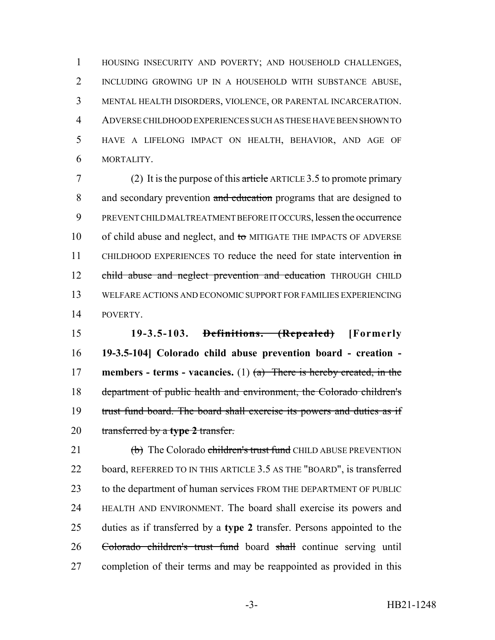HOUSING INSECURITY AND POVERTY; AND HOUSEHOLD CHALLENGES, INCLUDING GROWING UP IN A HOUSEHOLD WITH SUBSTANCE ABUSE, MENTAL HEALTH DISORDERS, VIOLENCE, OR PARENTAL INCARCERATION. ADVERSE CHILDHOOD EXPERIENCES SUCH AS THESE HAVE BEEN SHOWN TO HAVE A LIFELONG IMPACT ON HEALTH, BEHAVIOR, AND AGE OF MORTALITY.

 (2) It is the purpose of this article ARTICLE 3.5 to promote primary 8 and secondary prevention and education programs that are designed to PREVENT CHILD MALTREATMENT BEFORE IT OCCURS, lessen the occurrence 10 of child abuse and neglect, and to MITIGATE THE IMPACTS OF ADVERSE 11 CHILDHOOD EXPERIENCES TO reduce the need for state intervention in 12 child abuse and neglect prevention and education THROUGH CHILD WELFARE ACTIONS AND ECONOMIC SUPPORT FOR FAMILIES EXPERIENCING POVERTY.

 **19-3.5-103. Definitions. (Repealed) [Formerly 19-3.5-104] Colorado child abuse prevention board - creation - members - terms - vacancies.** (1) (a) There is hereby created, in the department of public health and environment, the Colorado children's 19 trust fund board. The board shall exercise its powers and duties as if transferred by a **type 2** transfer.

 $\left(\rightarrow\right)$  The Colorado children's trust fund CHILD ABUSE PREVENTION board, REFERRED TO IN THIS ARTICLE 3.5 AS THE "BOARD", is transferred to the department of human services FROM THE DEPARTMENT OF PUBLIC HEALTH AND ENVIRONMENT. The board shall exercise its powers and duties as if transferred by a **type 2** transfer. Persons appointed to the Colorado children's trust fund board shall continue serving until completion of their terms and may be reappointed as provided in this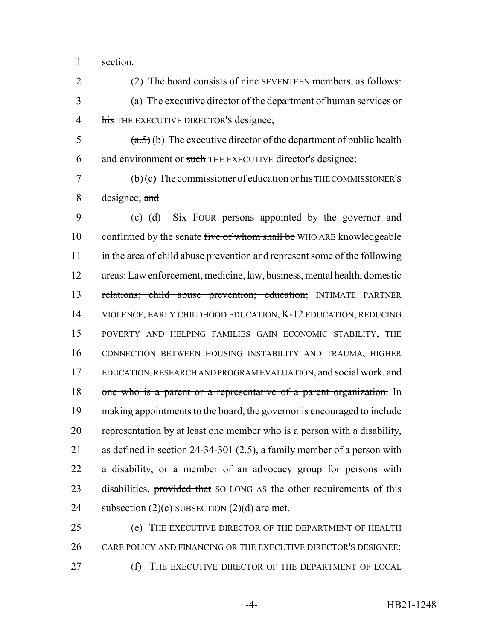1 section.

2 (2) The board consists of nine SEVENTEEN members, as follows: 3 (a) The executive director of the department of human services or 4 his THE EXECUTIVE DIRECTOR'S designee;

- 5  $(a.5)$  (b) The executive director of the department of public health 6 and environment or such THE EXECUTIVE director's designee;
- $7 \left( b \right)$  (c) The commissioner of education or his THE COMMISSIONER'S 8 designee; and

9 (c) (d)  $Six$  FOUR persons appointed by the governor and 10 confirmed by the senate five of whom shall be WHO ARE knowledgeable 11 in the area of child abuse prevention and represent some of the following 12 areas: Law enforcement, medicine, law, business, mental health, domestic 13 relations; child abuse prevention; education; INTIMATE PARTNER 14 VIOLENCE, EARLY CHILDHOOD EDUCATION, K-12 EDUCATION, REDUCING 15 POVERTY AND HELPING FAMILIES GAIN ECONOMIC STABILITY, THE 16 CONNECTION BETWEEN HOUSING INSTABILITY AND TRAUMA, HIGHER 17 EDUCATION, RESEARCH AND PROGRAM EVALUATION, and social work. and 18 one who is a parent or a representative of a parent organization. In 19 making appointments to the board, the governor is encouraged to include 20 representation by at least one member who is a person with a disability, 21 as defined in section 24-34-301 (2.5), a family member of a person with 22 a disability, or a member of an advocacy group for persons with 23 disabilities, provided that SO LONG AS the other requirements of this 24 subsection  $(2)(c)$  SUBSECTION  $(2)(d)$  are met.

25 (e) THE EXECUTIVE DIRECTOR OF THE DEPARTMENT OF HEALTH 26 CARE POLICY AND FINANCING OR THE EXECUTIVE DIRECTOR'S DESIGNEE; 27 (f) THE EXECUTIVE DIRECTOR OF THE DEPARTMENT OF LOCAL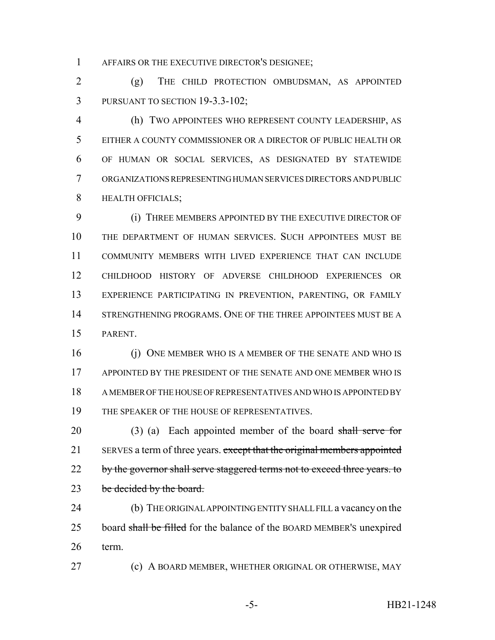AFFAIRS OR THE EXECUTIVE DIRECTOR'S DESIGNEE;

 (g) THE CHILD PROTECTION OMBUDSMAN, AS APPOINTED PURSUANT TO SECTION 19-3.3-102;

 (h) TWO APPOINTEES WHO REPRESENT COUNTY LEADERSHIP, AS EITHER A COUNTY COMMISSIONER OR A DIRECTOR OF PUBLIC HEALTH OR OF HUMAN OR SOCIAL SERVICES, AS DESIGNATED BY STATEWIDE ORGANIZATIONS REPRESENTING HUMAN SERVICES DIRECTORS AND PUBLIC HEALTH OFFICIALS;

 (i) THREE MEMBERS APPOINTED BY THE EXECUTIVE DIRECTOR OF THE DEPARTMENT OF HUMAN SERVICES. SUCH APPOINTEES MUST BE COMMUNITY MEMBERS WITH LIVED EXPERIENCE THAT CAN INCLUDE CHILDHOOD HISTORY OF ADVERSE CHILDHOOD EXPERIENCES OR EXPERIENCE PARTICIPATING IN PREVENTION, PARENTING, OR FAMILY STRENGTHENING PROGRAMS. ONE OF THE THREE APPOINTEES MUST BE A PARENT.

 (j) ONE MEMBER WHO IS A MEMBER OF THE SENATE AND WHO IS APPOINTED BY THE PRESIDENT OF THE SENATE AND ONE MEMBER WHO IS A MEMBER OF THE HOUSE OF REPRESENTATIVES AND WHO IS APPOINTED BY THE SPEAKER OF THE HOUSE OF REPRESENTATIVES.

20 (3) (a) Each appointed member of the board shall serve for 21 SERVES a term of three years. except that the original members appointed 22 by the governor shall serve staggered terms not to exceed three years. to 23 be decided by the board.

 (b) THE ORIGINAL APPOINTING ENTITY SHALL FILL a vacancy on the 25 board shall be filled for the balance of the BOARD MEMBER's unexpired term.

(c) A BOARD MEMBER, WHETHER ORIGINAL OR OTHERWISE, MAY

-5- HB21-1248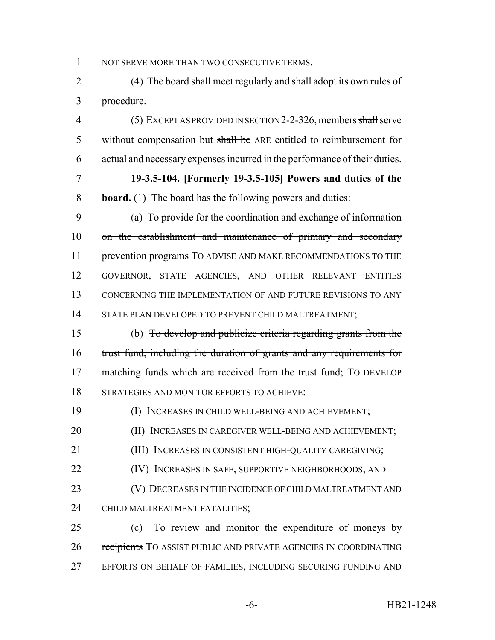1 NOT SERVE MORE THAN TWO CONSECUTIVE TERMS.

2 (4) The board shall meet regularly and shall adopt its own rules of 3 procedure.

4 (5) EXCEPT AS PROVIDED IN SECTION 2-2-326, members shall serve 5 without compensation but shall be ARE entitled to reimbursement for 6 actual and necessary expenses incurred in the performance of their duties.

7 **19-3.5-104. [Formerly 19-3.5-105] Powers and duties of the** 8 **board.** (1) The board has the following powers and duties:

9 (a) To provide for the coordination and exchange of information 10 on the establishment and maintenance of primary and secondary 11 prevention programs TO ADVISE AND MAKE RECOMMENDATIONS TO THE 12 GOVERNOR, STATE AGENCIES, AND OTHER RELEVANT ENTITIES 13 CONCERNING THE IMPLEMENTATION OF AND FUTURE REVISIONS TO ANY 14 STATE PLAN DEVELOPED TO PREVENT CHILD MALTREATMENT;

 (b) To develop and publicize criteria regarding grants from the trust fund, including the duration of grants and any requirements for 17 matching funds which are received from the trust fund; TO DEVELOP STRATEGIES AND MONITOR EFFORTS TO ACHIEVE:

19 (I) INCREASES IN CHILD WELL-BEING AND ACHIEVEMENT;

20 (II) INCREASES IN CAREGIVER WELL-BEING AND ACHIEVEMENT;

21 (III) INCREASES IN CONSISTENT HIGH-QUALITY CAREGIVING;

22 (IV) INCREASES IN SAFE, SUPPORTIVE NEIGHBORHOODS; AND

23 (V) DECREASES IN THE INCIDENCE OF CHILD MALTREATMENT AND 24 CHILD MALTREATMENT FATALITIES;

25 (c) To review and monitor the expenditure of moneys by 26 recipients TO ASSIST PUBLIC AND PRIVATE AGENCIES IN COORDINATING 27 EFFORTS ON BEHALF OF FAMILIES, INCLUDING SECURING FUNDING AND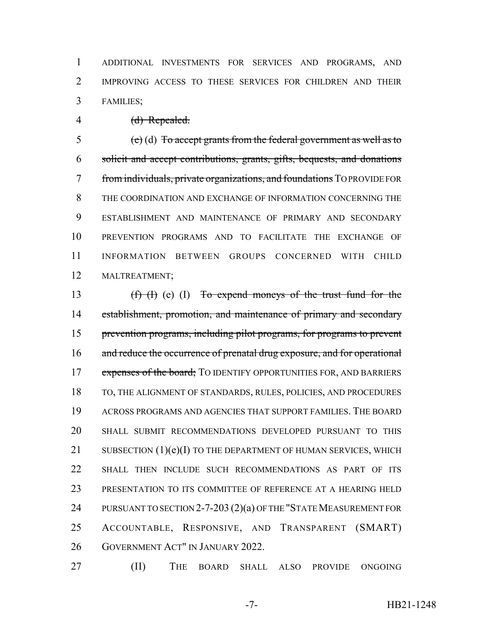ADDITIONAL INVESTMENTS FOR SERVICES AND PROGRAMS, AND IMPROVING ACCESS TO THESE SERVICES FOR CHILDREN AND THEIR FAMILIES;

(d) Repealed.

5 (e) (d) To accept grants from the federal government as well as to solicit and accept contributions, grants, gifts, bequests, and donations from individuals, private organizations, and foundations TO PROVIDE FOR THE COORDINATION AND EXCHANGE OF INFORMATION CONCERNING THE ESTABLISHMENT AND MAINTENANCE OF PRIMARY AND SECONDARY PREVENTION PROGRAMS AND TO FACILITATE THE EXCHANGE OF INFORMATION BETWEEN GROUPS CONCERNED WITH CHILD MALTREATMENT;

13  $(f)$  (f) (e) (I) To expend moneys of the trust fund for the 14 establishment, promotion, and maintenance of primary and secondary prevention programs, including pilot programs, for programs to prevent 16 and reduce the occurrence of prenatal drug exposure, and for operational 17 expenses of the board; TO IDENTIFY OPPORTUNITIES FOR, AND BARRIERS TO, THE ALIGNMENT OF STANDARDS, RULES, POLICIES, AND PROCEDURES ACROSS PROGRAMS AND AGENCIES THAT SUPPORT FAMILIES. THE BOARD SHALL SUBMIT RECOMMENDATIONS DEVELOPED PURSUANT TO THIS 21 SUBSECTION  $(1)(e)(I)$  TO THE DEPARTMENT OF HUMAN SERVICES, WHICH 22 SHALL THEN INCLUDE SUCH RECOMMENDATIONS AS PART OF ITS PRESENTATION TO ITS COMMITTEE OF REFERENCE AT A HEARING HELD 24 PURSUANT TO SECTION 2-7-203 (2)(a) OF THE "STATE MEASUREMENT FOR ACCOUNTABLE, RESPONSIVE, AND TRANSPARENT (SMART) GOVERNMENT ACT" IN JANUARY 2022.

(II) THE BOARD SHALL ALSO PROVIDE ONGOING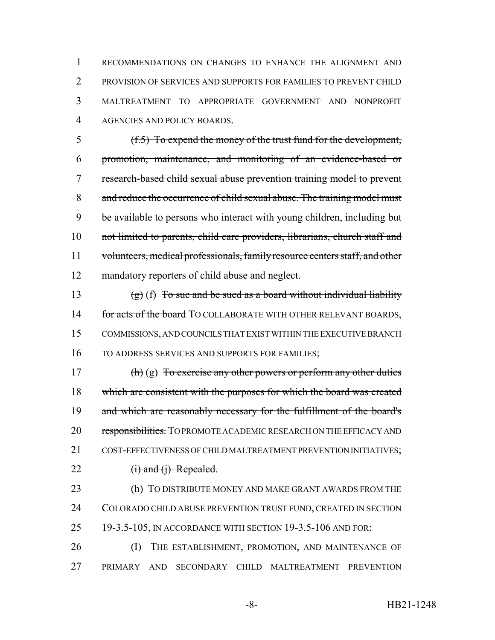RECOMMENDATIONS ON CHANGES TO ENHANCE THE ALIGNMENT AND PROVISION OF SERVICES AND SUPPORTS FOR FAMILIES TO PREVENT CHILD MALTREATMENT TO APPROPRIATE GOVERNMENT AND NONPROFIT AGENCIES AND POLICY BOARDS.

 (f.5) To expend the money of the trust fund for the development, promotion, maintenance, and monitoring of an evidence-based or research-based child sexual abuse prevention training model to prevent 8 and reduce the occurrence of child sexual abuse. The training model must be available to persons who interact with young children, including but not limited to parents, child care providers, librarians, church staff and volunteers, medical professionals, family resource centers staff, and other 12 mandatory reporters of child abuse and neglect.

13 (g) (f) To sue and be sued as a board without individual liability 14 for acts of the board TO COLLABORATE WITH OTHER RELEVANT BOARDS, 15 COMMISSIONS, AND COUNCILS THAT EXIST WITHIN THE EXECUTIVE BRANCH 16 TO ADDRESS SERVICES AND SUPPORTS FOR FAMILIES;

 $(h)(g)$  To exercise any other powers or perform any other duties 18 which are consistent with the purposes for which the board was created and which are reasonably necessary for the fulfillment of the board's 20 responsibilities. TO PROMOTE ACADEMIC RESEARCH ON THE EFFICACY AND COST-EFFECTIVENESS OF CHILD MALTREATMENT PREVENTION INITIATIVES;  $(i)$  and  $(i)$  Repealed.

23 (h) TO DISTRIBUTE MONEY AND MAKE GRANT AWARDS FROM THE 24 COLORADO CHILD ABUSE PREVENTION TRUST FUND, CREATED IN SECTION 25 19-3.5-105, IN ACCORDANCE WITH SECTION 19-3.5-106 AND FOR:

26 (I) THE ESTABLISHMENT, PROMOTION, AND MAINTENANCE OF 27 PRIMARY AND SECONDARY CHILD MALTREATMENT PREVENTION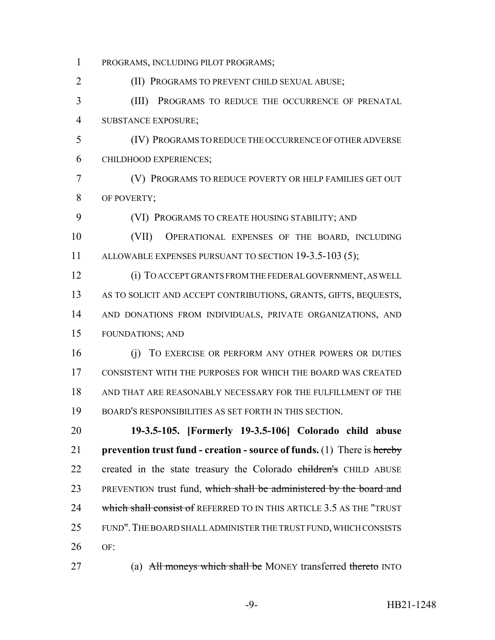PROGRAMS, INCLUDING PILOT PROGRAMS; (II) PROGRAMS TO PREVENT CHILD SEXUAL ABUSE; (III) PROGRAMS TO REDUCE THE OCCURRENCE OF PRENATAL SUBSTANCE EXPOSURE; (IV) PROGRAMS TO REDUCE THE OCCURRENCE OF OTHER ADVERSE CHILDHOOD EXPERIENCES; (V) PROGRAMS TO REDUCE POVERTY OR HELP FAMILIES GET OUT OF POVERTY; (VI) PROGRAMS TO CREATE HOUSING STABILITY; AND (VII) OPERATIONAL EXPENSES OF THE BOARD, INCLUDING 11 ALLOWABLE EXPENSES PURSUANT TO SECTION 19-3.5-103 (5); (i) TO ACCEPT GRANTS FROM THE FEDERAL GOVERNMENT, AS WELL AS TO SOLICIT AND ACCEPT CONTRIBUTIONS, GRANTS, GIFTS, BEQUESTS, AND DONATIONS FROM INDIVIDUALS, PRIVATE ORGANIZATIONS, AND FOUNDATIONS; AND 16 (i) TO EXERCISE OR PERFORM ANY OTHER POWERS OR DUTIES CONSISTENT WITH THE PURPOSES FOR WHICH THE BOARD WAS CREATED AND THAT ARE REASONABLY NECESSARY FOR THE FULFILLMENT OF THE BOARD'S RESPONSIBILITIES AS SET FORTH IN THIS SECTION. **19-3.5-105. [Formerly 19-3.5-106] Colorado child abuse prevention trust fund - creation - source of funds.** (1) There is hereby 22 created in the state treasury the Colorado children's CHILD ABUSE 23 PREVENTION trust fund, which shall be administered by the board and 24 which shall consist of REFERRED TO IN THIS ARTICLE 3.5 AS THE "TRUST" FUND".THE BOARD SHALL ADMINISTER THE TRUST FUND, WHICH CONSISTS

- OF:
- 

27 (a) All moneys which shall be MONEY transferred thereto INTO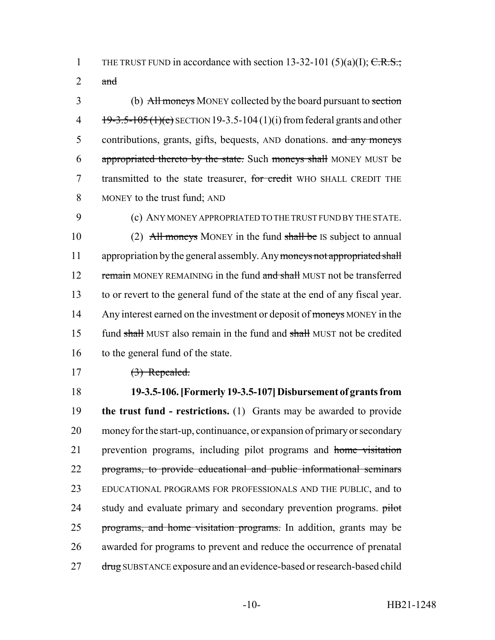1 THE TRUST FUND in accordance with section 13-32-101 (5)(a)(I);  $C.R.S.;$ 

2  $\qquad$  and

3 (b) All moneys MONEY collected by the board pursuant to section 4  $19-3.5-105$  (1)(e) SECTION 19-3.5-104 (1)(i) from federal grants and other 5 contributions, grants, gifts, bequests, AND donations. and any moneys 6 appropriated thereto by the state. Such moneys shall MONEY MUST be 7 transmitted to the state treasurer, for credit WHO SHALL CREDIT THE 8 MONEY to the trust fund; AND

9 (c) ANY MONEY APPROPRIATED TO THE TRUST FUND BY THE STATE.

10 (2) All moneys MONEY in the fund shall be IS subject to annual 11 appropriation by the general assembly. Any moneys not appropriated shall 12 remain MONEY REMAINING in the fund and shall MUST not be transferred 13 to or revert to the general fund of the state at the end of any fiscal year. 14 Any interest earned on the investment or deposit of moneys MONEY in the 15 fund shall MUST also remain in the fund and shall MUST not be credited 16 to the general fund of the state.

 $17 \qquad (3) \text{ Repeated.}$ 

18 **19-3.5-106. [Formerly 19-3.5-107] Disbursement of grants from** 19 **the trust fund - restrictions.** (1) Grants may be awarded to provide 20 money for the start-up, continuance, or expansion of primary or secondary 21 prevention programs, including pilot programs and home visitation 22 programs, to provide educational and public informational seminars 23 EDUCATIONAL PROGRAMS FOR PROFESSIONALS AND THE PUBLIC, and to 24 study and evaluate primary and secondary prevention programs. pilot 25 programs, and home visitation programs. In addition, grants may be 26 awarded for programs to prevent and reduce the occurrence of prenatal 27 drug SUBSTANCE exposure and an evidence-based or research-based child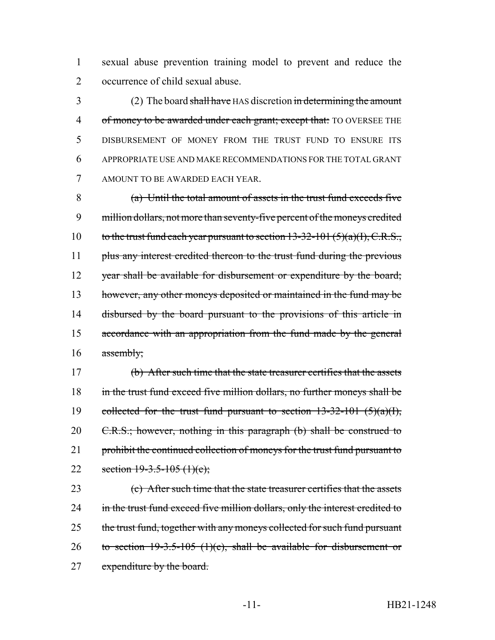1 sexual abuse prevention training model to prevent and reduce the 2 occurrence of child sexual abuse.

3 (2) The board shall have HAS discretion in determining the amount 4 of money to be awarded under each grant; except that: TO OVERSEE THE 5 DISBURSEMENT OF MONEY FROM THE TRUST FUND TO ENSURE ITS 6 APPROPRIATE USE AND MAKE RECOMMENDATIONS FOR THE TOTAL GRANT 7 AMOUNT TO BE AWARDED EACH YEAR.

8 (a) Until the total amount of assets in the trust fund exceeds five 9 million dollars, not more than seventy-five percent of the moneys credited 10 to the trust fund each year pursuant to section  $13-32-101(5)(a)(I)$ , C.R.S., 11 plus any interest credited thereon to the trust fund during the previous 12 year shall be available for disbursement or expenditure by the board; 13 however, any other moneys deposited or maintained in the fund may be 14 disbursed by the board pursuant to the provisions of this article in 15 accordance with an appropriation from the fund made by the general 16 assembly;

17 (b) After such time that the state treasurer certifies that the assets 18 in the trust fund exceed five million dollars, no further moneys shall be 19 collected for the trust fund pursuant to section  $13-32-101$  (5)(a)(I), 20 C.R.S.; however, nothing in this paragraph (b) shall be construed to 21 prohibit the continued collection of moneys for the trust fund pursuant to 22 section 19-3.5-105 (1)(e);

23 (c) After such time that the state treasurer certifies that the assets 24 in the trust fund exceed five million dollars, only the interest credited to 25 the trust fund, together with any moneys collected for such fund pursuant 26 to section 19-3.5-105 (1)(e), shall be available for disbursement or 27 expenditure by the board.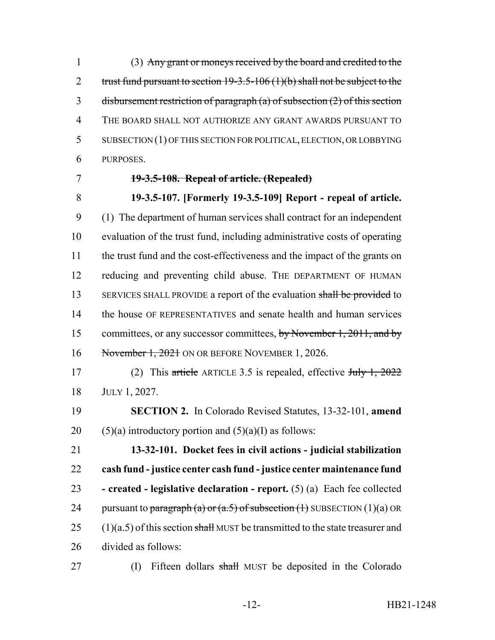(3) Any grant or moneys received by the board and credited to the 2 trust fund pursuant to section  $19-3.5-106(1)(b)$  shall not be subject to the disbursement restriction of paragraph (a) of subsection (2) of this section THE BOARD SHALL NOT AUTHORIZE ANY GRANT AWARDS PURSUANT TO SUBSECTION (1) OF THIS SECTION FOR POLITICAL, ELECTION, OR LOBBYING PURPOSES.

### **19-3.5-108. Repeal of article. (Repealed)**

 **19-3.5-107. [Formerly 19-3.5-109] Report - repeal of article.** (1) The department of human services shall contract for an independent evaluation of the trust fund, including administrative costs of operating the trust fund and the cost-effectiveness and the impact of the grants on reducing and preventing child abuse. THE DEPARTMENT OF HUMAN 13 SERVICES SHALL PROVIDE a report of the evaluation shall be provided to the house OF REPRESENTATIVES and senate health and human services 15 committees, or any successor committees, by November 1, 2011, and by 16 November 1, 2021 ON OR BEFORE NOVEMBER 1, 2026.

17 (2) This article ARTICLE 3.5 is repealed, effective  $J_{\text{ul}}(1, 2022)$ JULY 1, 2027.

 **SECTION 2.** In Colorado Revised Statutes, 13-32-101, **amend** 20 (5)(a) introductory portion and  $(5)(a)(I)$  as follows:

 **13-32-101. Docket fees in civil actions - judicial stabilization cash fund - justice center cash fund - justice center maintenance fund - created - legislative declaration - report.** (5) (a) Each fee collected 24 pursuant to paragraph (a) or  $(a.5)$  of subsection  $(1)$  SUBSECTION  $(1)(a)$  OR  $(1)(a.5)$  of this section shall MUST be transmitted to the state treasurer and divided as follows:

27 (I) Fifteen dollars shall MUST be deposited in the Colorado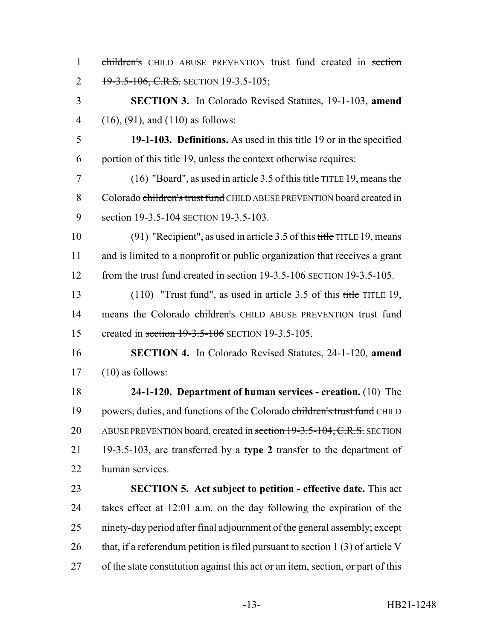| $\mathbf{1}$   | children's CHILD ABUSE PREVENTION trust fund created in section                 |
|----------------|---------------------------------------------------------------------------------|
| 2              | 19-3.5-106, C.R.S. SECTION 19-3.5-105;                                          |
| 3              | <b>SECTION 3.</b> In Colorado Revised Statutes, 19-1-103, amend                 |
| $\overline{4}$ | $(16)$ , $(91)$ , and $(110)$ as follows:                                       |
| 5              | 19-1-103. Definitions. As used in this title 19 or in the specified             |
| 6              | portion of this title 19, unless the context otherwise requires:                |
| 7              | $(16)$ "Board", as used in article 3.5 of this title TITLE 19, means the        |
| 8              | Colorado children's trust fund CHILD ABUSE PREVENTION board created in          |
| 9              | section 19-3.5-104 SECTION 19-3.5-103.                                          |
| 10             | (91) "Recipient", as used in article 3.5 of this title TITLE 19, means          |
| 11             | and is limited to a nonprofit or public organization that receives a grant      |
| 12             | from the trust fund created in section $19-3.5-106$ SECTION 19-3.5-105.         |
| 13             | $(110)$ "Trust fund", as used in article 3.5 of this title TITLE 19,            |
| 14             | means the Colorado children's CHILD ABUSE PREVENTION trust fund                 |
| 15             | created in section $19-3.5-106$ SECTION 19-3.5-105.                             |
| 16             | <b>SECTION 4.</b> In Colorado Revised Statutes, 24-1-120, amend                 |
| 17             | $(10)$ as follows:                                                              |
| 18             | 24-1-120. Department of human services - creation. (10) The                     |
| 19             | powers, duties, and functions of the Colorado children's trust fund CHILD       |
| 20             | ABUSE PREVENTION board, created in section 19-3.5-104, C.R.S. SECTION           |
| 21             | 19-3.5-103, are transferred by a type 2 transfer to the department of           |
| 22             | human services.                                                                 |
| 23             | <b>SECTION 5.</b> Act subject to petition - effective date. This act            |
| 24             | takes effect at 12:01 a.m. on the day following the expiration of the           |
| 25             | ninety-day period after final adjournment of the general assembly; except       |
| 26             | that, if a referendum petition is filed pursuant to section $1(3)$ of article V |
| 27             | of the state constitution against this act or an item, section, or part of this |